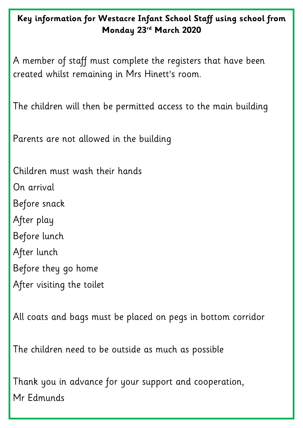### **Key information for Westacre Infant School Staff using school from Monday 23rd March 2020**

A member of staff must complete the registers that have been created whilst remaining in Mrs Hinett's room.

The children will then be permitted access to the main building

Parents are not allowed in the building

Children must wash their hands On arrival Before snack After play Before lunch After lunch Before they go home After visiting the toilet

All coats and bags must be placed on pegs in bottom corridor

#### The children need to be outside as much as possible

# Thank you in advance for your support and cooperation, Mr Edmunds